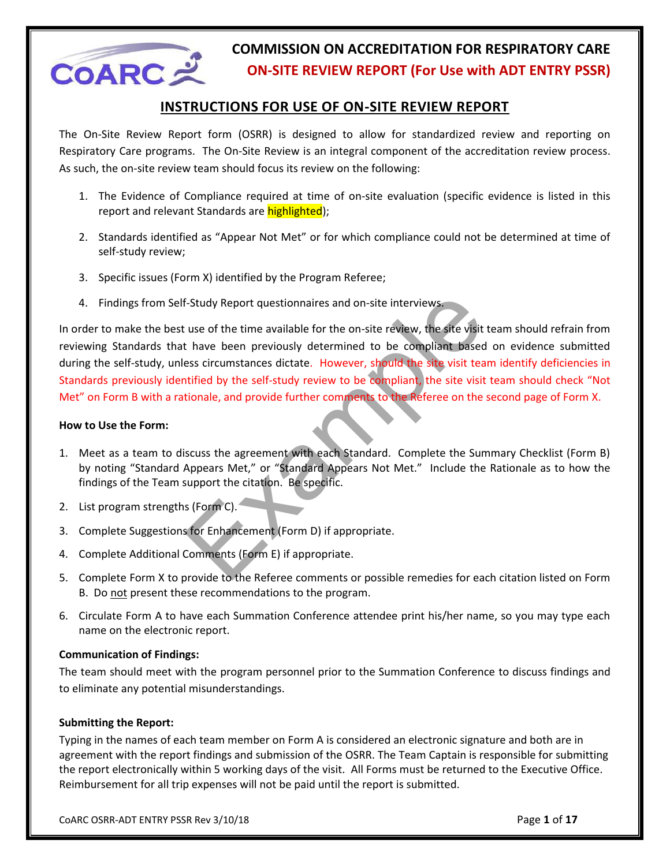

#### **INSTRUCTIONS FOR USE OF ON-SITE REVIEW REPORT**

The On-Site Review Report form (OSRR) is designed to allow for standardized review and reporting on Respiratory Care programs. The On-Site Review is an integral component of the accreditation review process. As such, the on-site review team should focus its review on the following:

- 1. The Evidence of Compliance required at time of on-site evaluation (specific evidence is listed in this report and relevant Standards are highlighted);
- 2. Standards identified as "Appear Not Met" or for which compliance could not be determined at time of self-study review;
- 3. Specific issues (Form X) identified by the Program Referee;
- 4. Findings from Self-Study Report questionnaires and on-site interviews.

F-Study Report questionnaires and on-site interviews.<br>
The study Report questionnaires and on-site review, the site visit team shall that the been previously determined to be compliant based on evident<br>
that have been prev In order to make the best use of the time available for the on-site review, the site visit team should refrain from reviewing Standards that have been previously determined to be compliant based on evidence submitted during the self-study, unless circumstances dictate. However, should the site visit team identify deficiencies in Standards previously identified by the self-study review to be compliant, the site visit team should check "Not Met" on Form B with a rationale, and provide further comments to the Referee on the second page of Form X.

#### **How to Use the Form:**

- 1. Meet as a team to discuss the agreement with each Standard. Complete the Summary Checklist (Form B) by noting "Standard Appears Met," or "Standard Appears Not Met." Include the Rationale as to how the findings of the Team support the citation. Be specific.
- 2. List program strengths (Form C).
- 3. Complete Suggestions for Enhancement (Form D) if appropriate.
- 4. Complete Additional Comments (Form E) if appropriate.
- 5. Complete Form X to provide to the Referee comments or possible remedies for each citation listed on Form B. Do not present these recommendations to the program.
- 6. Circulate Form A to have each Summation Conference attendee print his/her name, so you may type each name on the electronic report.

#### **Communication of Findings:**

The team should meet with the program personnel prior to the Summation Conference to discuss findings and to eliminate any potential misunderstandings.

#### **Submitting the Report:**

Typing in the names of each team member on Form A is considered an electronic signature and both are in agreement with the report findings and submission of the OSRR. The Team Captain is responsible for submitting the report electronically within 5 working days of the visit. All Forms must be returned to the Executive Office. Reimbursement for all trip expenses will not be paid until the report is submitted.

CoARC OSRR-ADT ENTRY PSSR Rev 3/10/18 Page **1** of **17**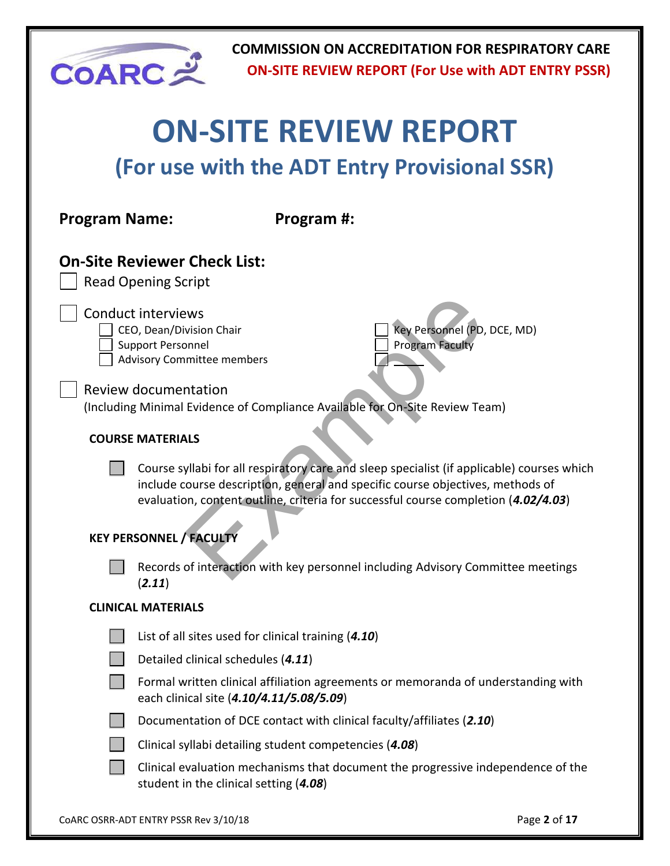| <b>COARC=</b>        |                                                                                                                               |                                                        | <b>COMMISSION ON ACCREDITATION FOR RESPIRATORY CARE</b><br><b>ON-SITE REVIEW REPORT (For Use with ADT ENTRY PSSR)</b>                                                                                                                                              |              |  |  |  |  |
|----------------------|-------------------------------------------------------------------------------------------------------------------------------|--------------------------------------------------------|--------------------------------------------------------------------------------------------------------------------------------------------------------------------------------------------------------------------------------------------------------------------|--------------|--|--|--|--|
|                      | <b>ON-SITE REVIEW REPORT</b>                                                                                                  |                                                        |                                                                                                                                                                                                                                                                    |              |  |  |  |  |
|                      | (For use with the ADT Entry Provisional SSR)                                                                                  |                                                        |                                                                                                                                                                                                                                                                    |              |  |  |  |  |
| <b>Program Name:</b> |                                                                                                                               | Program #:                                             |                                                                                                                                                                                                                                                                    |              |  |  |  |  |
|                      | <b>On-Site Reviewer Check List:</b><br><b>Read Opening Script</b>                                                             |                                                        |                                                                                                                                                                                                                                                                    |              |  |  |  |  |
|                      | <b>Conduct interviews</b><br>CEO, Dean/Division Chair<br><b>Support Personnel</b><br><b>Advisory Committee members</b>        |                                                        | Key Personnel (PD, DCE, MD)<br><b>Program Faculty</b>                                                                                                                                                                                                              |              |  |  |  |  |
|                      | <b>Review documentation</b>                                                                                                   |                                                        | (Including Minimal Evidence of Compliance Available for On-Site Review Team)                                                                                                                                                                                       |              |  |  |  |  |
|                      | <b>COURSE MATERIALS</b>                                                                                                       |                                                        |                                                                                                                                                                                                                                                                    |              |  |  |  |  |
|                      |                                                                                                                               |                                                        | Course syllabi for all respiratory care and sleep specialist (if applicable) courses which<br>include course description, general and specific course objectives, methods of<br>evaluation, content outline, criteria for successful course completion (4.02/4.03) |              |  |  |  |  |
|                      | <b>KEY PERSONNEL / FACULTY</b>                                                                                                |                                                        |                                                                                                                                                                                                                                                                    |              |  |  |  |  |
|                      | (2.11)                                                                                                                        |                                                        | Records of interaction with key personnel including Advisory Committee meetings                                                                                                                                                                                    |              |  |  |  |  |
|                      | <b>CLINICAL MATERIALS</b>                                                                                                     |                                                        |                                                                                                                                                                                                                                                                    |              |  |  |  |  |
|                      |                                                                                                                               | List of all sites used for clinical training (4.10)    |                                                                                                                                                                                                                                                                    |              |  |  |  |  |
|                      | Detailed clinical schedules (4.11)                                                                                            |                                                        |                                                                                                                                                                                                                                                                    |              |  |  |  |  |
|                      | Formal written clinical affiliation agreements or memoranda of understanding with<br>each clinical site (4.10/4.11/5.08/5.09) |                                                        |                                                                                                                                                                                                                                                                    |              |  |  |  |  |
|                      |                                                                                                                               |                                                        | Documentation of DCE contact with clinical faculty/affiliates (2.10)                                                                                                                                                                                               |              |  |  |  |  |
|                      |                                                                                                                               | Clinical syllabi detailing student competencies (4.08) |                                                                                                                                                                                                                                                                    |              |  |  |  |  |
|                      | student in the clinical setting (4.08)                                                                                        |                                                        | Clinical evaluation mechanisms that document the progressive independence of the                                                                                                                                                                                   |              |  |  |  |  |
|                      | COARC OSRR-ADT ENTRY PSSR Rev 3/10/18                                                                                         |                                                        |                                                                                                                                                                                                                                                                    | Page 2 of 17 |  |  |  |  |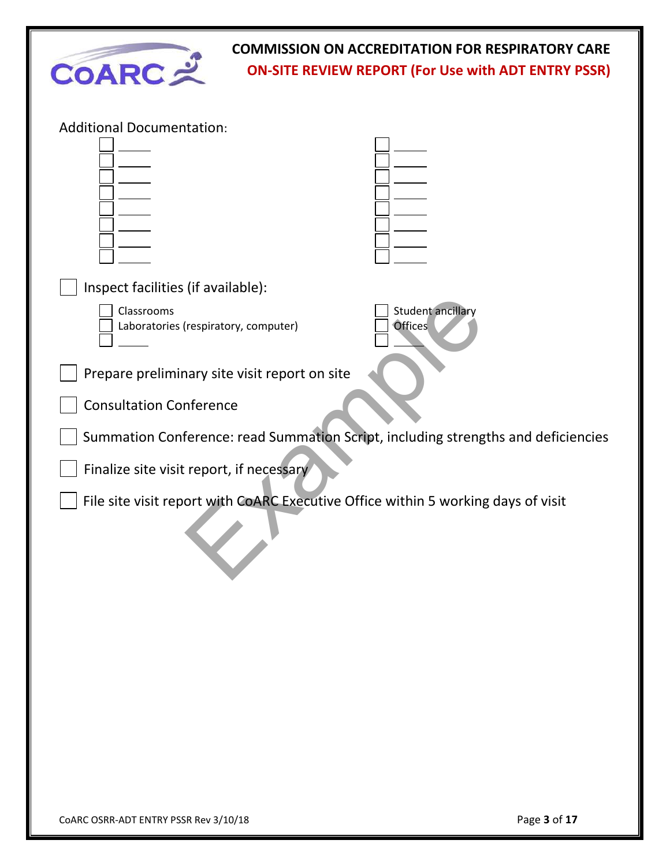

| <b>Additional Documentation:</b>                                                  |                          |
|-----------------------------------------------------------------------------------|--------------------------|
|                                                                                   |                          |
|                                                                                   |                          |
|                                                                                   |                          |
|                                                                                   |                          |
|                                                                                   |                          |
|                                                                                   |                          |
|                                                                                   |                          |
| Inspect facilities (if available):                                                |                          |
| Classrooms                                                                        | <b>Student ancillary</b> |
| Laboratories (respiratory, computer)                                              | <b>Offices</b>           |
|                                                                                   |                          |
| Prepare preliminary site visit report on site                                     |                          |
| <b>Consultation Conference</b>                                                    |                          |
| Summation Conference: read Summation Script, including strengths and deficiencies |                          |
| Finalize site visit report, if necessary                                          |                          |
| File site visit report with CoARC Executive Office within 5 working days of visit |                          |
|                                                                                   |                          |
|                                                                                   |                          |
|                                                                                   |                          |
|                                                                                   |                          |
|                                                                                   |                          |
|                                                                                   |                          |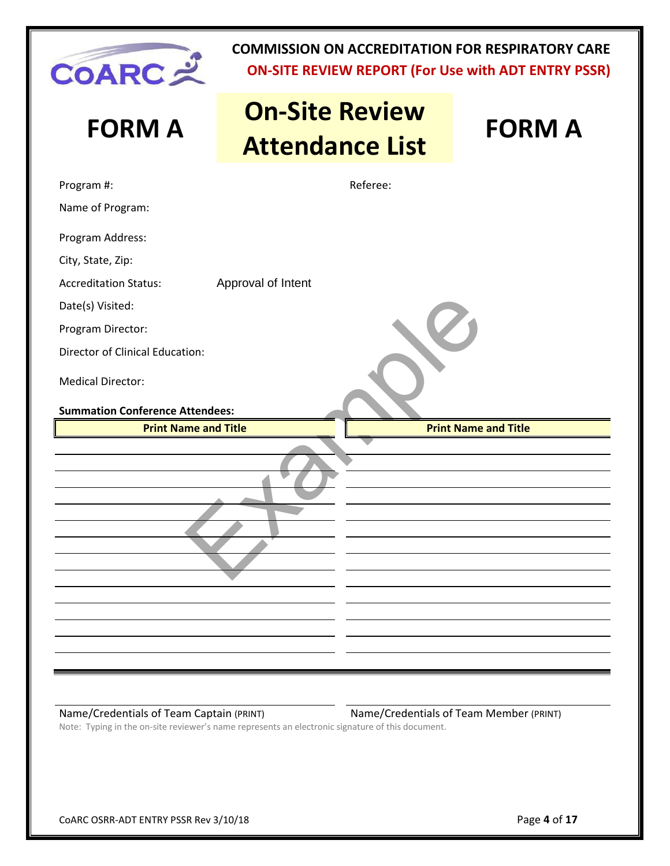

# **FORM A On-Site Review Attendance List FORM A**

|                                        | <u>IIICIINAIILE LIJI</u>    |
|----------------------------------------|-----------------------------|
| Program #:                             | Referee:                    |
| Name of Program:                       |                             |
| Program Address:                       |                             |
| City, State, Zip:                      |                             |
| <b>Accreditation Status:</b>           | Approval of Intent          |
| Date(s) Visited:                       |                             |
| Program Director:                      |                             |
| Director of Clinical Education:        |                             |
| <b>Medical Director:</b>               |                             |
| <b>Summation Conference Attendees:</b> |                             |
| <b>Print Name and Title</b>            |                             |
|                                        | <b>Print Name and Title</b> |
|                                        |                             |

#### Name/Credentials of Team Captain (PRINT) Name/Credentials of Team Member (PRINT)

Note: Typing in the on-site reviewer's name represents an electronic signature of this document.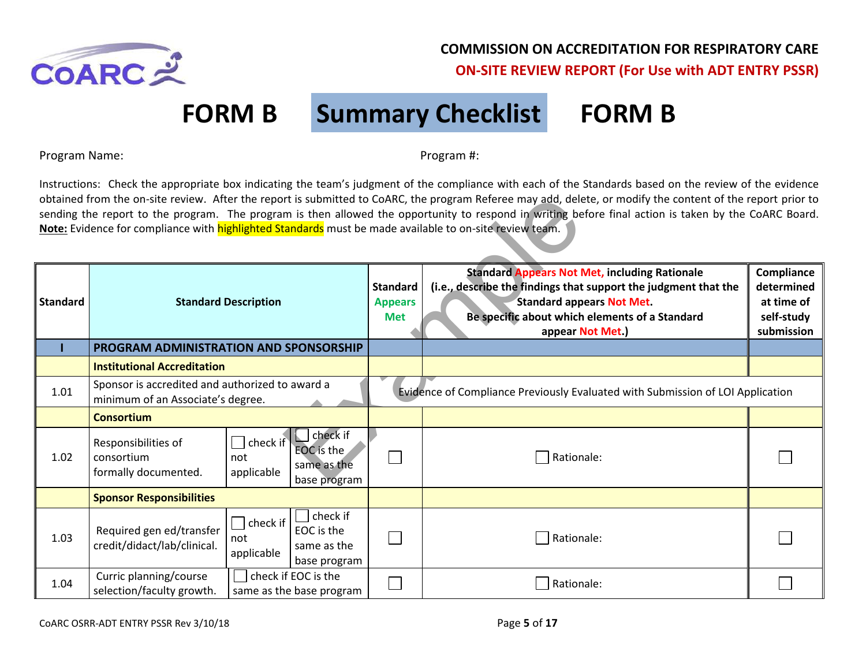

# **FORM B Summary Checklist FORM B**

Program Name: Name: Program #: Program #: Program #: Program #: Program #: Program #: Program #: Program #: Program #: Program #: Program #: Program #: Program #: Program #: Program #: Program #: Program #: Program #: Prog

Instructions: Check the appropriate box indicating the team's judgment of the compliance with each of the Standards based on the review of the evidence obtained from the on-site review. After the report is submitted to CoARC, the program Referee may add, delete, or modify the content of the report prior to sending the report to the program. The program is then allowed the opportunity to respond in writing before final action is taken by the CoARC Board. **Note:** Evidence for compliance with highlighted Standards must be made available to on-site review team.

| obtained from the on-site review. After the report is submitted to CoARC, the program Referee may add, delete, or modify the content of the report prior to<br>sending the report to the program. The program is then allowed the opportunity to respond in writing before final action is taken by the CoARC Board.<br>Note: Evidence for compliance with highlighted Standards must be made available to on-site review team. |                                                                                      |                                                                                                 |                                                 |                                                                                                                                                                                                                                   |                                                                    |  |  |
|---------------------------------------------------------------------------------------------------------------------------------------------------------------------------------------------------------------------------------------------------------------------------------------------------------------------------------------------------------------------------------------------------------------------------------|--------------------------------------------------------------------------------------|-------------------------------------------------------------------------------------------------|-------------------------------------------------|-----------------------------------------------------------------------------------------------------------------------------------------------------------------------------------------------------------------------------------|--------------------------------------------------------------------|--|--|
| <b>Standard</b>                                                                                                                                                                                                                                                                                                                                                                                                                 |                                                                                      | <b>Standard Description</b>                                                                     | <b>Standard</b><br><b>Appears</b><br><b>Met</b> | <b>Standard Appears Not Met, including Rationale</b><br>(i.e., describe the findings that support the judgment that the<br><b>Standard appears Not Met.</b><br>Be specific about which elements of a Standard<br>appear Not Met.) | Compliance<br>determined<br>at time of<br>self-study<br>submission |  |  |
|                                                                                                                                                                                                                                                                                                                                                                                                                                 | PROGRAM ADMINISTRATION AND SPONSORSHIP                                               |                                                                                                 |                                                 |                                                                                                                                                                                                                                   |                                                                    |  |  |
|                                                                                                                                                                                                                                                                                                                                                                                                                                 | <b>Institutional Accreditation</b>                                                   |                                                                                                 |                                                 |                                                                                                                                                                                                                                   |                                                                    |  |  |
| 1.01                                                                                                                                                                                                                                                                                                                                                                                                                            | Sponsor is accredited and authorized to award a<br>minimum of an Associate's degree. |                                                                                                 |                                                 | Evidence of Compliance Previously Evaluated with Submission of LOI Application                                                                                                                                                    |                                                                    |  |  |
|                                                                                                                                                                                                                                                                                                                                                                                                                                 | <b>Consortium</b>                                                                    |                                                                                                 |                                                 |                                                                                                                                                                                                                                   |                                                                    |  |  |
| 1.02                                                                                                                                                                                                                                                                                                                                                                                                                            | Responsibilities of<br>consortium<br>formally documented.                            | check if<br>check if<br><b>EOC</b> is the<br>not<br>same as the<br>applicable<br>base program   |                                                 | Rationale:                                                                                                                                                                                                                        |                                                                    |  |  |
|                                                                                                                                                                                                                                                                                                                                                                                                                                 | <b>Sponsor Responsibilities</b>                                                      |                                                                                                 |                                                 |                                                                                                                                                                                                                                   |                                                                    |  |  |
| 1.03                                                                                                                                                                                                                                                                                                                                                                                                                            | Required gen ed/transfer<br>credit/didact/lab/clinical.                              | check if<br>$\sqcap$ check if<br>EOC is the<br>not<br>same as the<br>applicable<br>base program |                                                 | Rationale:                                                                                                                                                                                                                        |                                                                    |  |  |
| 1.04                                                                                                                                                                                                                                                                                                                                                                                                                            | Curric planning/course<br>selection/faculty growth.                                  | check if EOC is the<br>same as the base program                                                 |                                                 | Rationale:                                                                                                                                                                                                                        |                                                                    |  |  |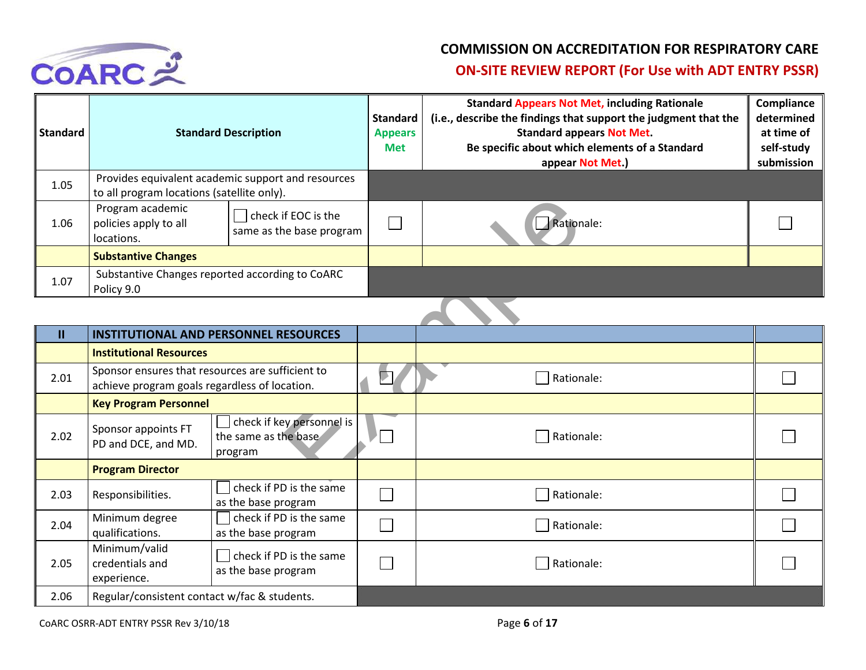

| <b>Standard</b> | <b>Standard Description</b>                                                                      |                                                 | <b>Standard</b><br><b>Appears</b><br><b>Met</b> | <b>Standard Appears Not Met, including Rationale</b><br>(i.e., describe the findings that support the judgment that the<br><b>Standard appears Not Met.</b><br>Be specific about which elements of a Standard<br>appear Not Met.) | Compliance<br>determined<br>at time of<br>self-study<br>submission |
|-----------------|--------------------------------------------------------------------------------------------------|-------------------------------------------------|-------------------------------------------------|-----------------------------------------------------------------------------------------------------------------------------------------------------------------------------------------------------------------------------------|--------------------------------------------------------------------|
| 1.05            | Provides equivalent academic support and resources<br>to all program locations (satellite only). |                                                 |                                                 |                                                                                                                                                                                                                                   |                                                                    |
| 1.06            | Program academic<br>policies apply to all<br>locations.                                          | check if EOC is the<br>same as the base program |                                                 | Rationale:                                                                                                                                                                                                                        |                                                                    |
|                 | <b>Substantive Changes</b>                                                                       |                                                 |                                                 |                                                                                                                                                                                                                                   |                                                                    |
| 1.07            | Substantive Changes reported according to CoARC<br>Policy 9.0                                    |                                                 |                                                 |                                                                                                                                                                                                                                   |                                                                    |

| 1.06          | to an program locations (satemed only).<br>Program academic<br>policies apply to all<br>locations.         | check if EOC is the<br>same as the base program | Rationale: |  |
|---------------|------------------------------------------------------------------------------------------------------------|-------------------------------------------------|------------|--|
|               | <b>Substantive Changes</b>                                                                                 |                                                 |            |  |
| 1.07          | Policy 9.0                                                                                                 | Substantive Changes reported according to CoARC |            |  |
|               |                                                                                                            |                                                 |            |  |
| $\mathbf{II}$ |                                                                                                            | <b>INSTITUTIONAL AND PERSONNEL RESOURCES</b>    |            |  |
|               | <b>Institutional Resources</b>                                                                             |                                                 |            |  |
| 2.01          | Sponsor ensures that resources are sufficient to<br>achieve program goals regardless of location.          |                                                 | Rationale: |  |
|               | <b>Key Program Personnel</b>                                                                               |                                                 |            |  |
| 2.02          | check if key personnel is<br>Sponsor appoints FT<br>the same as the base<br>PD and DCE, and MD.<br>program |                                                 | Rationale: |  |
|               | <b>Program Director</b>                                                                                    |                                                 |            |  |
| 2.03          | Responsibilities.                                                                                          | check if PD is the same<br>as the base program  | Rationale: |  |
| 2.04          | Minimum degree<br>qualifications.                                                                          | check if PD is the same<br>as the base program  | Rationale: |  |
| 2.05          | Minimum/valid<br>credentials and<br>experience.                                                            | check if PD is the same<br>as the base program  | Rationale: |  |
| 2.06          | Regular/consistent contact w/fac & students.                                                               |                                                 |            |  |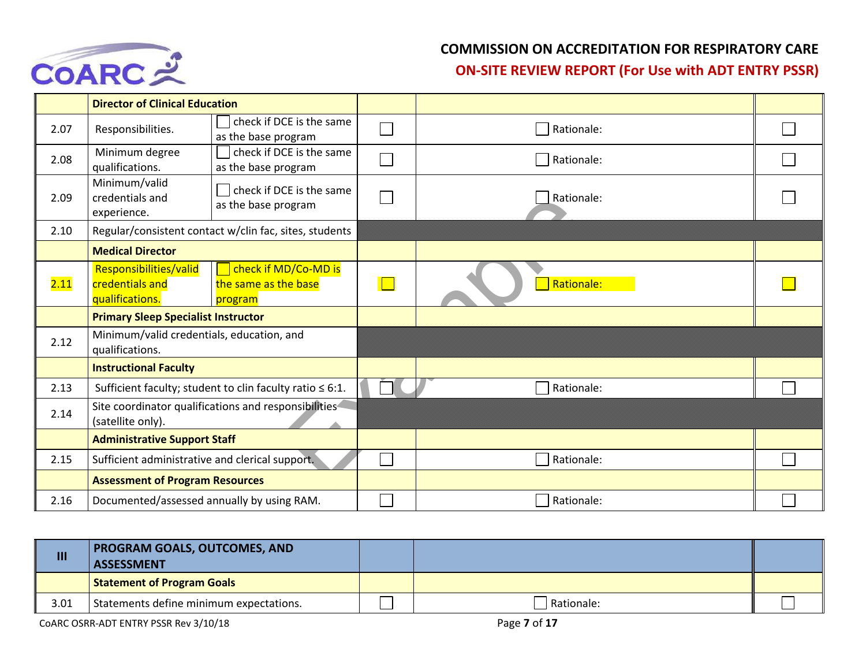

|      | <b>Director of Clinical Education</b>                        |                                                                |            |  |
|------|--------------------------------------------------------------|----------------------------------------------------------------|------------|--|
| 2.07 | Responsibilities.                                            | check if DCE is the same<br>as the base program                | Rationale: |  |
| 2.08 | Minimum degree<br>qualifications.                            | check if DCE is the same<br>as the base program                | Rationale: |  |
| 2.09 | Minimum/valid<br>credentials and<br>experience.              | check if DCE is the same<br>as the base program                | Rationale: |  |
| 2.10 |                                                              | Regular/consistent contact w/clin fac, sites, students         |            |  |
|      | <b>Medical Director</b>                                      |                                                                |            |  |
| 2.11 | Responsibilities/valid<br>credentials and<br>qualifications. | check if MD/Co-MD is<br>the same as the base<br>program        | Rationale: |  |
|      | <b>Primary Sleep Specialist Instructor</b>                   |                                                                |            |  |
| 2.12 | Minimum/valid credentials, education, and<br>qualifications. |                                                                |            |  |
|      | <b>Instructional Faculty</b>                                 |                                                                |            |  |
| 2.13 |                                                              | Sufficient faculty; student to clin faculty ratio $\leq 6:1$ . | Rationale: |  |
| 2.14 | (satellite only).                                            | Site coordinator qualifications and responsibilities           |            |  |
|      | <b>Administrative Support Staff</b>                          |                                                                |            |  |
| 2.15 | Sufficient administrative and clerical support.              |                                                                | Rationale: |  |
|      | <b>Assessment of Program Resources</b>                       |                                                                |            |  |
| 2.16 | Documented/assessed annually by using RAM.                   |                                                                | Rationale: |  |

| $\mathbf{m}$ | <b>PROGRAM GOALS, OUTCOMES, AND</b><br><b>ASSESSMENT</b> |            |  |
|--------------|----------------------------------------------------------|------------|--|
|              | <b>Statement of Program Goals</b>                        |            |  |
| 3.01         | Statements define minimum expectations.                  | Rationale: |  |

COARC OSRR-ADT ENTRY PSSR Rev 3/10/18 **Page 7** of 17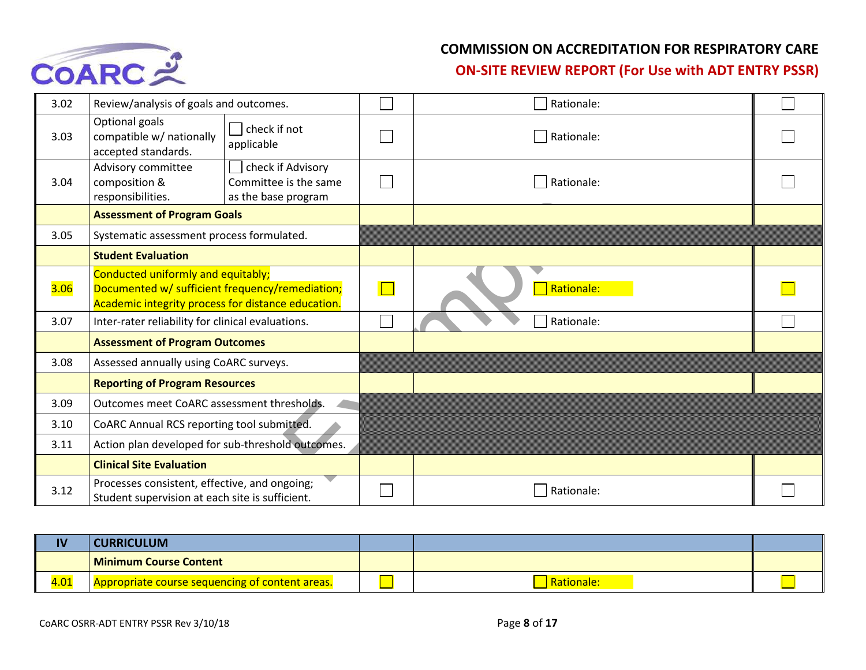

#### **COMMISSION ON ACCREDITATION FOR RESPIRATORY CARE**

**ON-SITE REVIEW REPORT (For Use with ADT ENTRY PSSR)** 

| 3.02 | Review/analysis of goals and outcomes.                                                                                                      |                                                                   | Rationale: |  |
|------|---------------------------------------------------------------------------------------------------------------------------------------------|-------------------------------------------------------------------|------------|--|
| 3.03 | Optional goals<br>compatible w/ nationally<br>accepted standards.                                                                           | check if not<br>applicable                                        | Rationale: |  |
| 3.04 | Advisory committee<br>composition &<br>responsibilities.                                                                                    | check if Advisory<br>Committee is the same<br>as the base program | Rationale: |  |
|      | <b>Assessment of Program Goals</b>                                                                                                          |                                                                   |            |  |
| 3.05 | Systematic assessment process formulated.                                                                                                   |                                                                   |            |  |
|      | <b>Student Evaluation</b>                                                                                                                   |                                                                   |            |  |
| 3.06 | Conducted uniformly and equitably;<br>Documented w/ sufficient frequency/remediation;<br>Academic integrity process for distance education. |                                                                   | Rationale: |  |
| 3.07 | Inter-rater reliability for clinical evaluations.                                                                                           |                                                                   | Rationale: |  |
|      | <b>Assessment of Program Outcomes</b>                                                                                                       |                                                                   |            |  |
| 3.08 | Assessed annually using CoARC surveys.                                                                                                      |                                                                   |            |  |
|      | <b>Reporting of Program Resources</b>                                                                                                       |                                                                   |            |  |
| 3.09 | Outcomes meet CoARC assessment thresholds.                                                                                                  |                                                                   |            |  |
| 3.10 | CoARC Annual RCS reporting tool submitted.                                                                                                  |                                                                   |            |  |
| 3.11 | Action plan developed for sub-threshold outcomes.                                                                                           |                                                                   |            |  |
|      | <b>Clinical Site Evaluation</b>                                                                                                             |                                                                   |            |  |
| 3.12 | Processes consistent, effective, and ongoing;<br>Student supervision at each site is sufficient.                                            |                                                                   | Rationale: |  |

| IV   | <b>CURRICULUM</b>                               |                   |  |
|------|-------------------------------------------------|-------------------|--|
|      | Minimum Course Content                          |                   |  |
| 4.01 | Appropriate course sequencing of content areas. | <b>Rationale:</b> |  |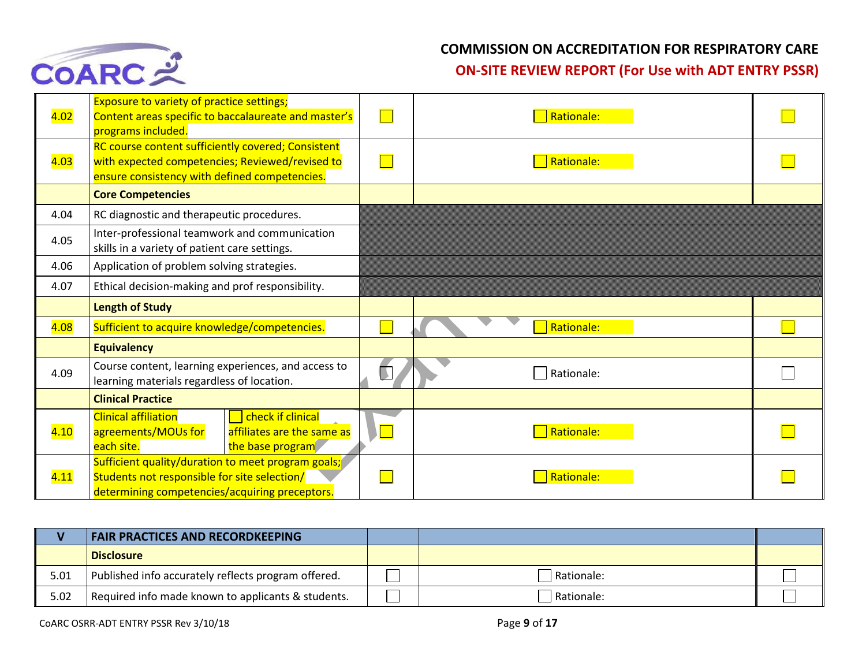

| 4.02 | <b>Exposure to variety of practice settings;</b><br>Content areas specific to baccalaureate and master's<br>programs included.                         |                      | Rationale: |  |
|------|--------------------------------------------------------------------------------------------------------------------------------------------------------|----------------------|------------|--|
| 4.03 | RC course content sufficiently covered; Consistent<br>with expected competencies; Reviewed/revised to<br>ensure consistency with defined competencies. |                      | Rationale: |  |
|      | <b>Core Competencies</b>                                                                                                                               |                      |            |  |
| 4.04 | RC diagnostic and therapeutic procedures.                                                                                                              |                      |            |  |
| 4.05 | Inter-professional teamwork and communication<br>skills in a variety of patient care settings.                                                         |                      |            |  |
| 4.06 | Application of problem solving strategies.                                                                                                             |                      |            |  |
| 4.07 | Ethical decision-making and prof responsibility.                                                                                                       |                      |            |  |
|      | <b>Length of Study</b>                                                                                                                                 |                      |            |  |
| 4.08 | Sufficient to acquire knowledge/competencies.                                                                                                          |                      | Rationale: |  |
|      | <b>Equivalency</b>                                                                                                                                     |                      |            |  |
| 4.09 | Course content, learning experiences, and access to<br>learning materials regardless of location.                                                      |                      | Rationale: |  |
|      | <b>Clinical Practice</b>                                                                                                                               |                      |            |  |
| 4.10 | <b>Clinical affiliation</b><br>check if clinical<br>affiliates are the same as<br>agreements/MOUs for<br>the base program<br>each site.                | $\sqrt{\phantom{2}}$ | Rationale: |  |
| 4.11 | Sufficient quality/duration to meet program goals;<br>Students not responsible for site selection/<br>determining competencies/acquiring preceptors.   |                      | Rationale: |  |

|      | <b>FAIR PRACTICES AND RECORDKEEPING</b>             |              |  |
|------|-----------------------------------------------------|--------------|--|
|      | <b>Disclosure</b>                                   |              |  |
| 5.01 | Published info accurately reflects program offered. | l Rationale: |  |
| 5.02 | Required info made known to applicants & students.  | Rationale:   |  |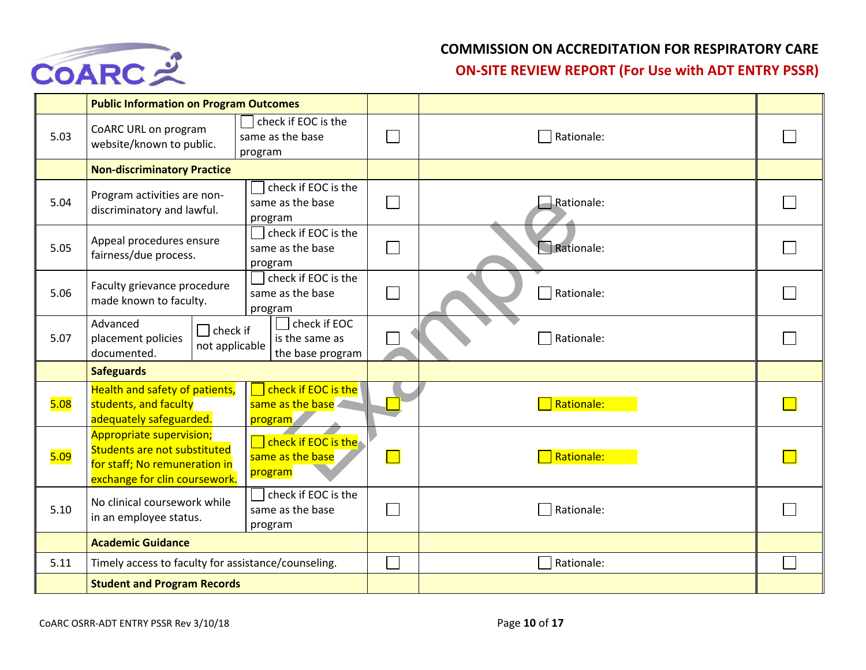

|      | <b>Public Information on Program Outcomes</b>                                                                                     |                                                           |              |                      |  |
|------|-----------------------------------------------------------------------------------------------------------------------------------|-----------------------------------------------------------|--------------|----------------------|--|
| 5.03 | CoARC URL on program<br>website/known to public.                                                                                  | check if EOC is the<br>same as the base<br>program        |              | Rationale:           |  |
|      | <b>Non-discriminatory Practice</b>                                                                                                |                                                           |              |                      |  |
| 5.04 | Program activities are non-<br>discriminatory and lawful.                                                                         | check if EOC is the<br>same as the base<br>program        |              | $\exists$ Rationale: |  |
| 5.05 | Appeal procedures ensure<br>fairness/due process.                                                                                 | check if EOC is the<br>same as the base<br>program        | $\Box$       | Rationale:           |  |
| 5.06 | Faculty grievance procedure<br>made known to faculty.                                                                             | check if EOC is the<br>same as the base<br>program        |              | Rationale:           |  |
| 5.07 | Advanced<br>$\Box$ check if<br>placement policies<br>not applicable<br>documented.                                                | check if EOC<br>is the same as<br>the base program        |              | Rationale:           |  |
|      | <b>Safeguards</b>                                                                                                                 |                                                           |              |                      |  |
| 5.08 | Health and safety of patients,<br>students, and faculty<br>adequately safeguarded.                                                | check if EOC is the<br>same as the base<br>program        |              | Rationale:           |  |
| 5.09 | <b>Appropriate supervision;</b><br>Students are not substituted<br>for staff; No remuneration in<br>exchange for clin coursework. | $\Box$ check if EOC is the<br>same as the base<br>program | $\mathbf{I}$ | Rationale:           |  |
| 5.10 | No clinical coursework while<br>in an employee status.                                                                            | check if EOC is the<br>same as the base<br>program        |              | Rationale:           |  |
|      | <b>Academic Guidance</b>                                                                                                          |                                                           |              |                      |  |
| 5.11 | Timely access to faculty for assistance/counseling.                                                                               |                                                           |              | Rationale:           |  |
|      | <b>Student and Program Records</b>                                                                                                |                                                           |              |                      |  |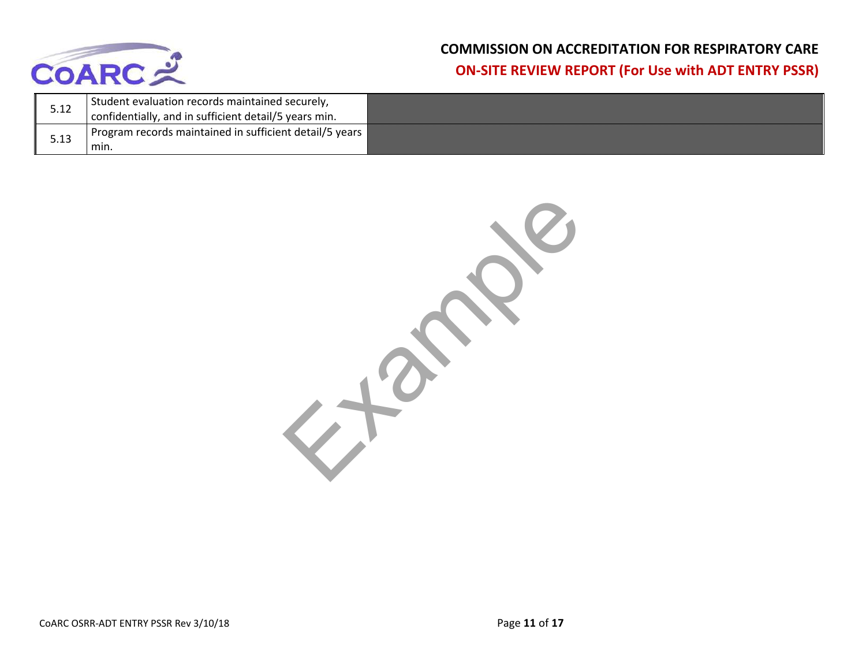

| 5.12 | Student evaluation records maintained securely,<br>confidentially, and in sufficient detail/5 years min. |  |
|------|----------------------------------------------------------------------------------------------------------|--|
|      | Program records maintained in sufficient detail/5 years                                                  |  |
| 5.13 | min.                                                                                                     |  |

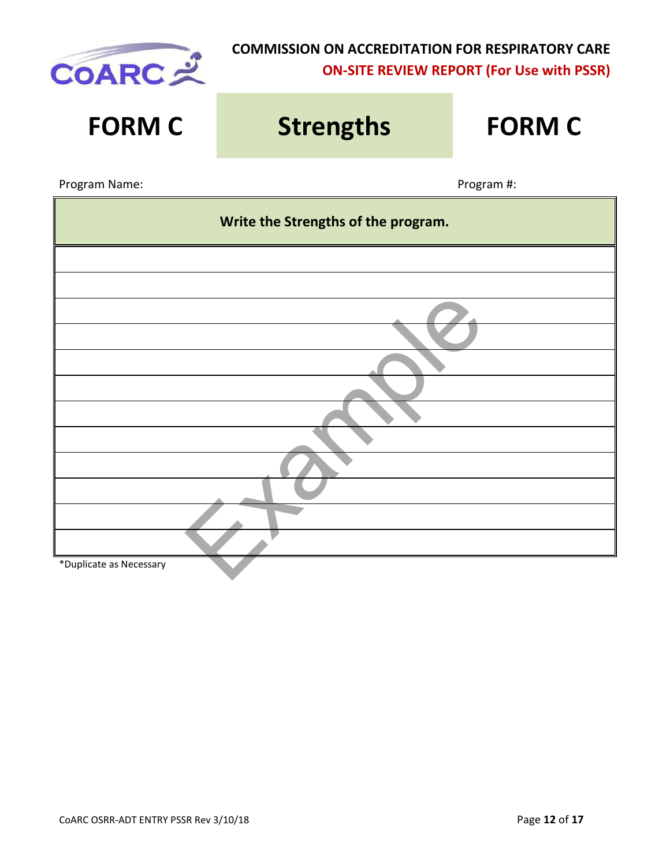

| <b>FORM C</b>                       | <b>Strengths</b> | <b>FORM C</b> |  |  |  |
|-------------------------------------|------------------|---------------|--|--|--|
| Program Name:                       |                  | Program #:    |  |  |  |
| Write the Strengths of the program. |                  |               |  |  |  |
|                                     |                  |               |  |  |  |
|                                     |                  |               |  |  |  |
|                                     |                  |               |  |  |  |
|                                     |                  |               |  |  |  |
|                                     |                  |               |  |  |  |
|                                     |                  |               |  |  |  |
|                                     |                  |               |  |  |  |
|                                     |                  |               |  |  |  |
|                                     |                  |               |  |  |  |
| *Duplicate as Necessary             |                  |               |  |  |  |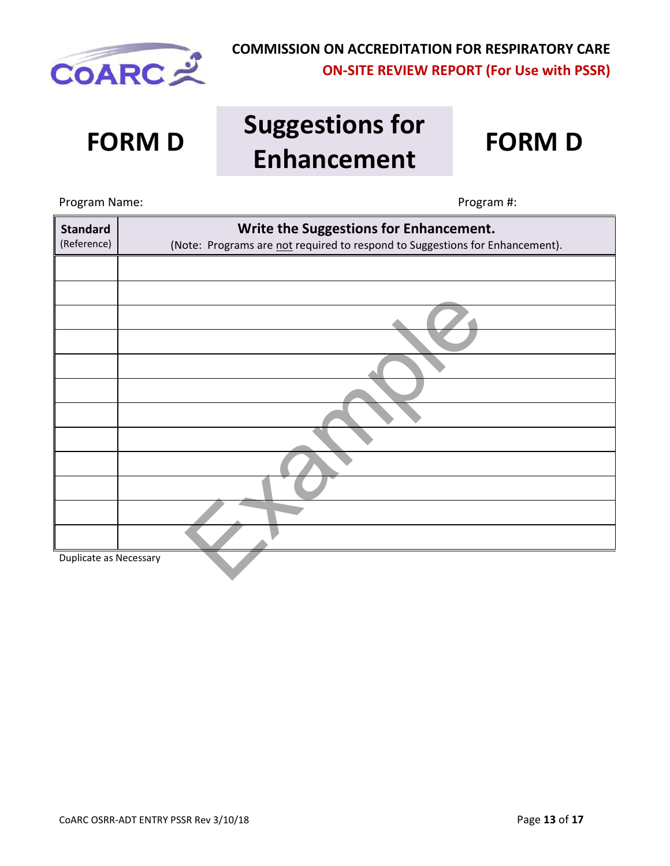

# **FORM D Suggestions for Enhancement FORM D**



# Example Program Name: Name: Program #: **Standard** (Reference) **Write the Suggestions for Enhancement.** (Note: Programs are not required to respond to Suggestions for Enhancement). Duplicate as Necessary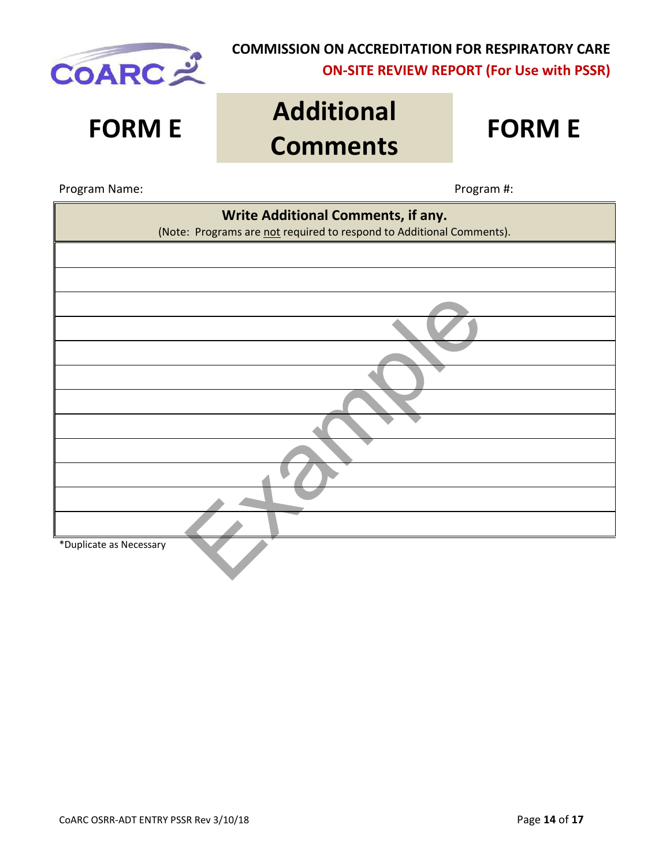

# **FORM E Additional Comments FORM E**

Program Name:  $\blacksquare$ 

| Write Additional Comments, if any.<br>(Note: Programs are not required to respond to Additional Comments). |  |  |  |  |
|------------------------------------------------------------------------------------------------------------|--|--|--|--|
|                                                                                                            |  |  |  |  |
|                                                                                                            |  |  |  |  |
|                                                                                                            |  |  |  |  |
|                                                                                                            |  |  |  |  |
|                                                                                                            |  |  |  |  |
|                                                                                                            |  |  |  |  |
|                                                                                                            |  |  |  |  |
|                                                                                                            |  |  |  |  |
|                                                                                                            |  |  |  |  |
|                                                                                                            |  |  |  |  |
|                                                                                                            |  |  |  |  |
| *Duplicate as Necessary                                                                                    |  |  |  |  |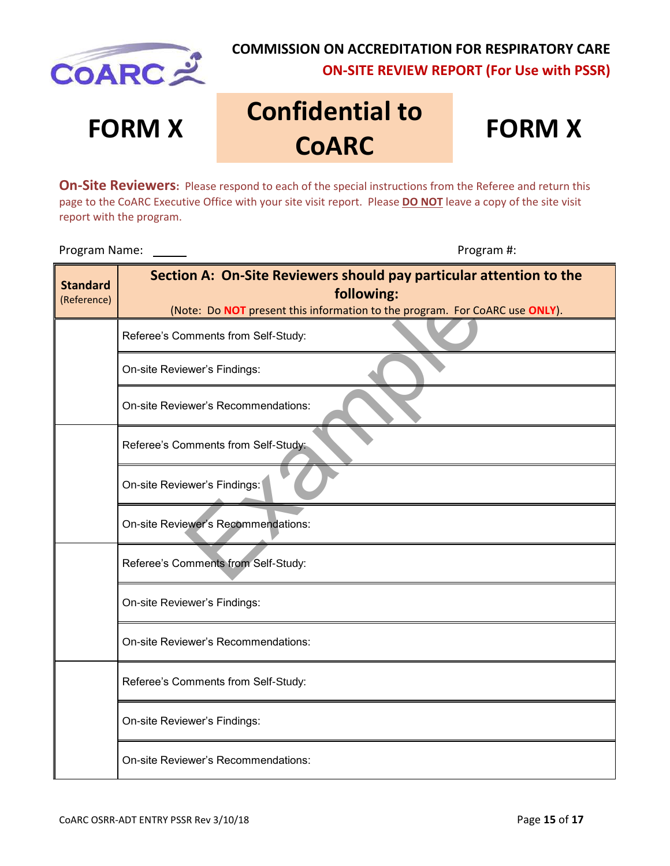

# **FORM X Confidential to COARC**

**FORM X** 

**On-Site Reviewers:** Please respond to each of the special instructions from the Referee and return this page to the CoARC Executive Office with your site visit report. Please **DO NOT** leave a copy of the site visit report with the program.

Program Name:  $\sqrt{ }$  Program #:

| <b>Standard</b><br>(Reference) | Section A: On-Site Reviewers should pay particular attention to the<br>following: |
|--------------------------------|-----------------------------------------------------------------------------------|
|                                | (Note: Do NOT present this information to the program. For CoARC use ONLY).       |
|                                | Referee's Comments from Self-Study:                                               |
|                                | On-site Reviewer's Findings:                                                      |
|                                | <b>On-site Reviewer's Recommendations:</b>                                        |
|                                | Referee's Comments from Self-Study:                                               |
|                                | On-site Reviewer's Findings:                                                      |
|                                | On-site Reviewer's Recommendations:                                               |
|                                | Referee's Comments from Self-Study:                                               |
|                                | On-site Reviewer's Findings:                                                      |
|                                | On-site Reviewer's Recommendations:                                               |
|                                | Referee's Comments from Self-Study:                                               |
|                                | On-site Reviewer's Findings:                                                      |
|                                | On-site Reviewer's Recommendations:                                               |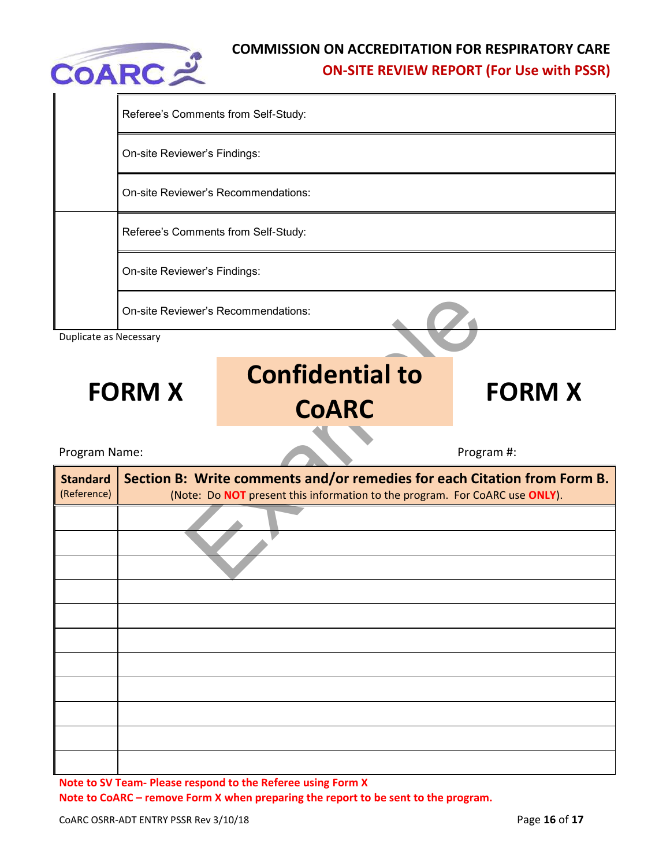

|                                | Referee's Comments from Self-Study: |                                                                                                                                                         |               |  |  |  |
|--------------------------------|-------------------------------------|---------------------------------------------------------------------------------------------------------------------------------------------------------|---------------|--|--|--|
|                                | On-site Reviewer's Findings:        |                                                                                                                                                         |               |  |  |  |
|                                | On-site Reviewer's Recommendations: |                                                                                                                                                         |               |  |  |  |
|                                | Referee's Comments from Self-Study: |                                                                                                                                                         |               |  |  |  |
|                                | On-site Reviewer's Findings:        |                                                                                                                                                         |               |  |  |  |
|                                |                                     | On-site Reviewer's Recommendations:                                                                                                                     |               |  |  |  |
| Duplicate as Necessary         |                                     |                                                                                                                                                         |               |  |  |  |
|                                | <b>FORM X</b>                       | <b>Confidential to</b><br><b>CoARC</b>                                                                                                                  | <b>FORM X</b> |  |  |  |
| Program Name:                  |                                     |                                                                                                                                                         | Program #:    |  |  |  |
| <b>Standard</b><br>(Reference) |                                     | Section B: Write comments and/or remedies for each Citation from Form B.<br>(Note: Do NOT present this information to the program. For CoARC use ONLY). |               |  |  |  |
|                                |                                     |                                                                                                                                                         |               |  |  |  |
|                                |                                     |                                                                                                                                                         |               |  |  |  |
|                                |                                     |                                                                                                                                                         |               |  |  |  |
|                                |                                     |                                                                                                                                                         |               |  |  |  |
|                                |                                     |                                                                                                                                                         |               |  |  |  |
|                                |                                     |                                                                                                                                                         |               |  |  |  |

**Note to CoARC – remove Form X when preparing the report to be sent to the program.**